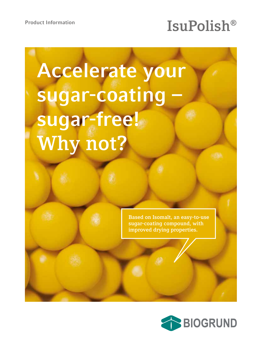# Product Information **ISUPOlish®**

# **Accelerate your**  sugar-coating **sugar-free! Why not?**

**Based on Isomalt, an easy-to-use sugar-coating compound, with improved drying properties.**